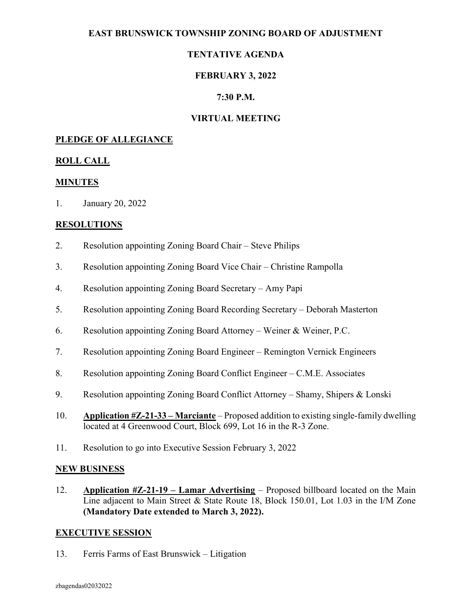## EAST BRUNSWICK TOWNSHIP ZONING BOARD OF ADJUSTMENT

# TENTATIVE AGENDA

# FEBRUARY 3, 2022

## 7:30 P.M.

## VIRTUAL MEETING

#### PLEDGE OF ALLEGIANCE

#### ROLL CALL

#### MINUTES

1. January 20, 2022

#### **RESOLUTIONS**

- 2. Resolution appointing Zoning Board Chair Steve Philips
- 3. Resolution appointing Zoning Board Vice Chair Christine Rampolla
- 4. Resolution appointing Zoning Board Secretary Amy Papi
- 5. Resolution appointing Zoning Board Recording Secretary Deborah Masterton
- 6. Resolution appointing Zoning Board Attorney Weiner & Weiner, P.C.
- 7. Resolution appointing Zoning Board Engineer Remington Vernick Engineers
- 8. Resolution appointing Zoning Board Conflict Engineer C.M.E. Associates
- 9. Resolution appointing Zoning Board Conflict Attorney Shamy, Shipers & Lonski
- 10. Application #Z-21-33 Marciante Proposed addition to existing single-family dwelling located at 4 Greenwood Court, Block 699, Lot 16 in the R-3 Zone.
- 11. Resolution to go into Executive Session February 3, 2022

#### NEW BUSINESS

12. Application  $\#Z-21-19$  – Lamar Advertising – Proposed billboard located on the Main Line adjacent to Main Street & State Route 18, Block 150.01, Lot 1.03 in the I/M Zone (Mandatory Date extended to March 3, 2022).

#### EXECUTIVE SESSION

13. Ferris Farms of East Brunswick – Litigation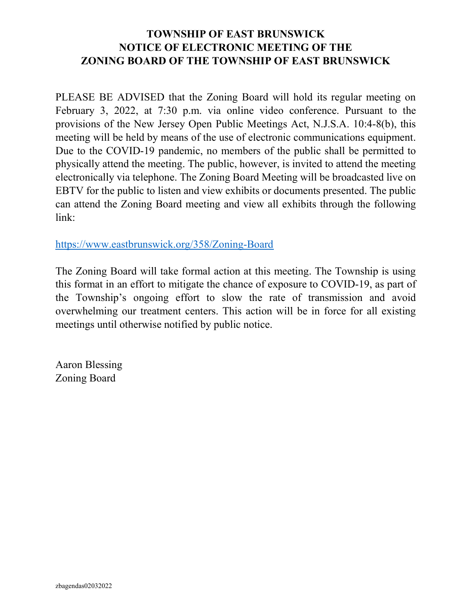# TOWNSHIP OF EAST BRUNSWICK NOTICE OF ELECTRONIC MEETING OF THE ZONING BOARD OF THE TOWNSHIP OF EAST BRUNSWICK

PLEASE BE ADVISED that the Zoning Board will hold its regular meeting on February 3, 2022, at 7:30 p.m. via online video conference. Pursuant to the provisions of the New Jersey Open Public Meetings Act, N.J.S.A. 10:4-8(b), this meeting will be held by means of the use of electronic communications equipment. Due to the COVID-19 pandemic, no members of the public shall be permitted to physically attend the meeting. The public, however, is invited to attend the meeting electronically via telephone. The Zoning Board Meeting will be broadcasted live on EBTV for the public to listen and view exhibits or documents presented. The public can attend the Zoning Board meeting and view all exhibits through the following link:

https://www.eastbrunswick.org/358/Zoning-Board

The Zoning Board will take formal action at this meeting. The Township is using this format in an effort to mitigate the chance of exposure to COVID-19, as part of the Township's ongoing effort to slow the rate of transmission and avoid overwhelming our treatment centers. This action will be in force for all existing meetings until otherwise notified by public notice.

Aaron Blessing Zoning Board